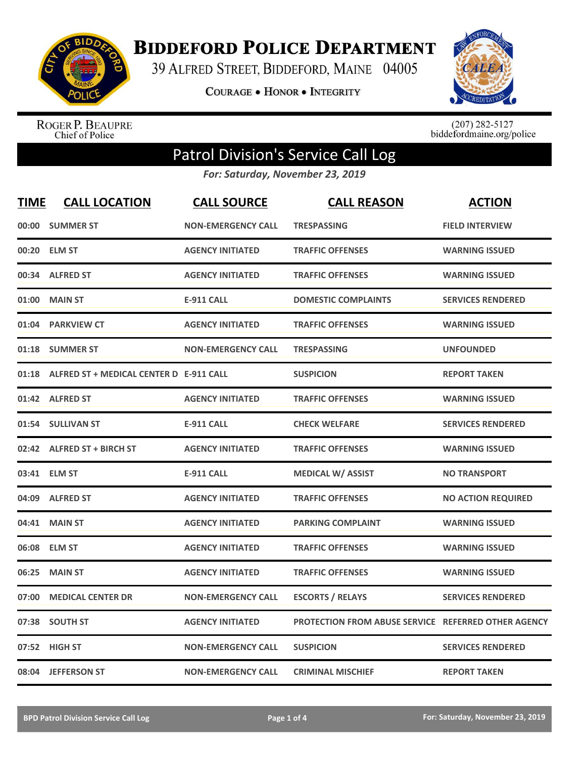

**BIDDEFORD POLICE DEPARTMENT** 

39 ALFRED STREET, BIDDEFORD, MAINE 04005

**COURAGE . HONOR . INTEGRITY** 



ROGER P. BEAUPRE<br>Chief of Police

 $(207)$  282-5127<br>biddefordmaine.org/police

## Patrol Division's Service Call Log

*For: Saturday, November 23, 2019*

| <b>TIME</b> | <b>CALL LOCATION</b>                    | <b>CALL SOURCE</b>        | <b>CALL REASON</b>                                  | <b>ACTION</b>             |
|-------------|-----------------------------------------|---------------------------|-----------------------------------------------------|---------------------------|
| 00:00       | <b>SUMMER ST</b>                        | <b>NON-EMERGENCY CALL</b> | <b>TRESPASSING</b>                                  | <b>FIELD INTERVIEW</b>    |
| 00:20       | <b>ELM ST</b>                           | <b>AGENCY INITIATED</b>   | <b>TRAFFIC OFFENSES</b>                             | <b>WARNING ISSUED</b>     |
| 00:34       | <b>ALFRED ST</b>                        | <b>AGENCY INITIATED</b>   | <b>TRAFFIC OFFENSES</b>                             | <b>WARNING ISSUED</b>     |
| 01:00       | <b>MAIN ST</b>                          | <b>E-911 CALL</b>         | <b>DOMESTIC COMPLAINTS</b>                          | <b>SERVICES RENDERED</b>  |
| 01:04       | <b>PARKVIEW CT</b>                      | <b>AGENCY INITIATED</b>   | <b>TRAFFIC OFFENSES</b>                             | <b>WARNING ISSUED</b>     |
| 01:18       | <b>SUMMER ST</b>                        | <b>NON-EMERGENCY CALL</b> | <b>TRESPASSING</b>                                  | <b>UNFOUNDED</b>          |
| 01:18       | ALFRED ST + MEDICAL CENTER D E-911 CALL |                           | <b>SUSPICION</b>                                    | <b>REPORT TAKEN</b>       |
|             | 01:42 ALFRED ST                         | <b>AGENCY INITIATED</b>   | <b>TRAFFIC OFFENSES</b>                             | <b>WARNING ISSUED</b>     |
|             | 01:54 SULLIVAN ST                       | <b>E-911 CALL</b>         | <b>CHECK WELFARE</b>                                | <b>SERVICES RENDERED</b>  |
|             | 02:42 ALFRED ST + BIRCH ST              | <b>AGENCY INITIATED</b>   | <b>TRAFFIC OFFENSES</b>                             | <b>WARNING ISSUED</b>     |
|             | 03:41 ELM ST                            | <b>E-911 CALL</b>         | <b>MEDICAL W/ ASSIST</b>                            | <b>NO TRANSPORT</b>       |
| 04:09       | <b>ALFRED ST</b>                        | <b>AGENCY INITIATED</b>   | <b>TRAFFIC OFFENSES</b>                             | <b>NO ACTION REQUIRED</b> |
| 04:41       | <b>MAIN ST</b>                          | <b>AGENCY INITIATED</b>   | <b>PARKING COMPLAINT</b>                            | <b>WARNING ISSUED</b>     |
| 06:08       | <b>ELM ST</b>                           | <b>AGENCY INITIATED</b>   | <b>TRAFFIC OFFENSES</b>                             | <b>WARNING ISSUED</b>     |
| 06:25       | <b>MAIN ST</b>                          | <b>AGENCY INITIATED</b>   | <b>TRAFFIC OFFENSES</b>                             | <b>WARNING ISSUED</b>     |
| 07:00       | <b>MEDICAL CENTER DR</b>                | <b>NON-EMERGENCY CALL</b> | <b>ESCORTS / RELAYS</b>                             | <b>SERVICES RENDERED</b>  |
| 07:38       | <b>SOUTH ST</b>                         | <b>AGENCY INITIATED</b>   | PROTECTION FROM ABUSE SERVICE REFERRED OTHER AGENCY |                           |
|             | 07:52 HIGH ST                           | <b>NON-EMERGENCY CALL</b> | <b>SUSPICION</b>                                    | <b>SERVICES RENDERED</b>  |
|             | 08:04 JEFFERSON ST                      | <b>NON-EMERGENCY CALL</b> | <b>CRIMINAL MISCHIEF</b>                            | <b>REPORT TAKEN</b>       |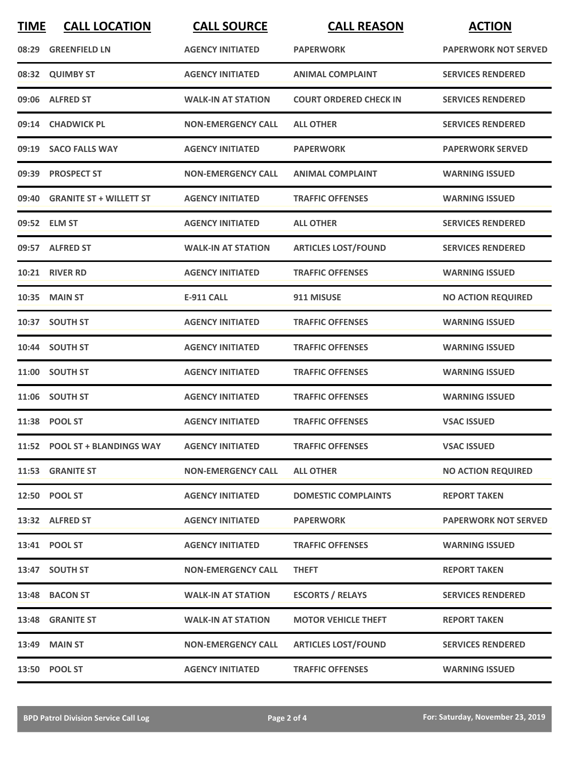| <b>TIME</b> | <b>CALL LOCATION</b>           | <b>CALL SOURCE</b>        | <b>CALL REASON</b>            | <b>ACTION</b>               |
|-------------|--------------------------------|---------------------------|-------------------------------|-----------------------------|
| 08:29       | <b>GREENFIELD LN</b>           | <b>AGENCY INITIATED</b>   | <b>PAPERWORK</b>              | <b>PAPERWORK NOT SERVED</b> |
|             | 08:32 QUIMBY ST                | <b>AGENCY INITIATED</b>   | <b>ANIMAL COMPLAINT</b>       | <b>SERVICES RENDERED</b>    |
|             | 09:06 ALFRED ST                | <b>WALK-IN AT STATION</b> | <b>COURT ORDERED CHECK IN</b> | <b>SERVICES RENDERED</b>    |
|             | 09:14 CHADWICK PL              | <b>NON-EMERGENCY CALL</b> | <b>ALL OTHER</b>              | <b>SERVICES RENDERED</b>    |
|             | 09:19 SACO FALLS WAY           | <b>AGENCY INITIATED</b>   | <b>PAPERWORK</b>              | <b>PAPERWORK SERVED</b>     |
|             | 09:39 PROSPECT ST              | <b>NON-EMERGENCY CALL</b> | <b>ANIMAL COMPLAINT</b>       | <b>WARNING ISSUED</b>       |
| 09:40       | <b>GRANITE ST + WILLETT ST</b> | <b>AGENCY INITIATED</b>   | <b>TRAFFIC OFFENSES</b>       | <b>WARNING ISSUED</b>       |
|             | 09:52 ELM ST                   | <b>AGENCY INITIATED</b>   | <b>ALL OTHER</b>              | <b>SERVICES RENDERED</b>    |
|             | 09:57 ALFRED ST                | <b>WALK-IN AT STATION</b> | <b>ARTICLES LOST/FOUND</b>    | <b>SERVICES RENDERED</b>    |
|             | 10:21 RIVER RD                 | <b>AGENCY INITIATED</b>   | <b>TRAFFIC OFFENSES</b>       | <b>WARNING ISSUED</b>       |
|             | <b>10:35 MAIN ST</b>           | <b>E-911 CALL</b>         | 911 MISUSE                    | <b>NO ACTION REQUIRED</b>   |
|             | 10:37 SOUTH ST                 | <b>AGENCY INITIATED</b>   | <b>TRAFFIC OFFENSES</b>       | <b>WARNING ISSUED</b>       |
|             | 10:44 SOUTH ST                 | <b>AGENCY INITIATED</b>   | <b>TRAFFIC OFFENSES</b>       | <b>WARNING ISSUED</b>       |
| 11:00       | <b>SOUTH ST</b>                | <b>AGENCY INITIATED</b>   | <b>TRAFFIC OFFENSES</b>       | <b>WARNING ISSUED</b>       |
|             | 11:06 SOUTH ST                 | <b>AGENCY INITIATED</b>   | <b>TRAFFIC OFFENSES</b>       | <b>WARNING ISSUED</b>       |
|             | 11:38 POOL ST                  | <b>AGENCY INITIATED</b>   | <b>TRAFFIC OFFENSES</b>       | <b>VSAC ISSUED</b>          |
|             | 11:52 POOL ST + BLANDINGS WAY  | <b>AGENCY INITIATED</b>   | <b>TRAFFIC OFFENSES</b>       | <b>VSAC ISSUED</b>          |
|             | 11:53 GRANITE ST               | <b>NON-EMERGENCY CALL</b> | <b>ALL OTHER</b>              | <b>NO ACTION REQUIRED</b>   |
|             | 12:50 POOL ST                  | <b>AGENCY INITIATED</b>   | <b>DOMESTIC COMPLAINTS</b>    | <b>REPORT TAKEN</b>         |
|             | 13:32 ALFRED ST                | <b>AGENCY INITIATED</b>   | <b>PAPERWORK</b>              | <b>PAPERWORK NOT SERVED</b> |
|             | 13:41 POOL ST                  | <b>AGENCY INITIATED</b>   | <b>TRAFFIC OFFENSES</b>       | <b>WARNING ISSUED</b>       |
|             | 13:47 SOUTH ST                 | <b>NON-EMERGENCY CALL</b> | <b>THEFT</b>                  | <b>REPORT TAKEN</b>         |
|             | 13:48 BACON ST                 | <b>WALK-IN AT STATION</b> | <b>ESCORTS / RELAYS</b>       | <b>SERVICES RENDERED</b>    |
|             | 13:48 GRANITE ST               | <b>WALK-IN AT STATION</b> | <b>MOTOR VEHICLE THEFT</b>    | <b>REPORT TAKEN</b>         |
|             | 13:49 MAIN ST                  | <b>NON-EMERGENCY CALL</b> | <b>ARTICLES LOST/FOUND</b>    | <b>SERVICES RENDERED</b>    |
|             | 13:50 POOL ST                  | <b>AGENCY INITIATED</b>   | <b>TRAFFIC OFFENSES</b>       | <b>WARNING ISSUED</b>       |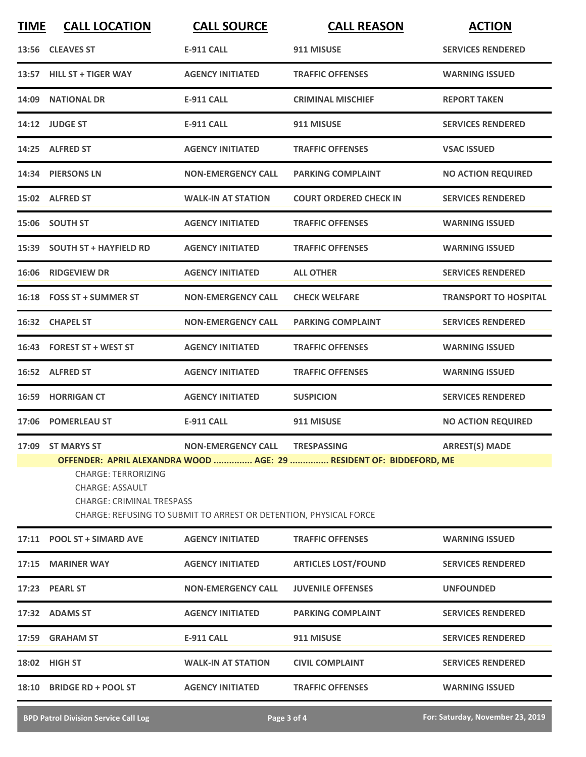| <b>E-911 CALL</b><br>13:56 CLEAVES ST<br>911 MISUSE<br>13:57 HILL ST + TIGER WAY<br><b>AGENCY INITIATED</b><br><b>TRAFFIC OFFENSES</b><br><b>WARNING ISSUED</b><br>14:09 NATIONAL DR<br><b>E-911 CALL</b><br><b>CRIMINAL MISCHIEF</b><br><b>REPORT TAKEN</b><br>14:12 JUDGE ST<br>E-911 CALL<br>911 MISUSE<br>14:25 ALFRED ST<br><b>AGENCY INITIATED</b><br><b>VSAC ISSUED</b><br><b>TRAFFIC OFFENSES</b><br>14:34 PIERSONS LN<br><b>NON-EMERGENCY CALL</b><br><b>PARKING COMPLAINT</b><br>15:02 ALFRED ST<br><b>WALK-IN AT STATION</b><br><b>COURT ORDERED CHECK IN</b><br>15:06 SOUTH ST<br><b>AGENCY INITIATED</b><br><b>TRAFFIC OFFENSES</b><br><b>WARNING ISSUED</b><br>15:39 SOUTH ST + HAYFIELD RD<br><b>AGENCY INITIATED</b><br><b>TRAFFIC OFFENSES</b><br><b>WARNING ISSUED</b><br>16:06 RIDGEVIEW DR<br><b>AGENCY INITIATED</b><br><b>ALL OTHER</b><br>16:18 FOSS ST + SUMMER ST<br><b>NON-EMERGENCY CALL</b><br><b>CHECK WELFARE</b><br>16:32 CHAPEL ST<br><b>NON-EMERGENCY CALL</b><br><b>PARKING COMPLAINT</b><br>16:43 FOREST ST + WEST ST<br><b>AGENCY INITIATED</b><br><b>TRAFFIC OFFENSES</b><br><b>WARNING ISSUED</b><br>16:52 ALFRED ST<br><b>AGENCY INITIATED</b><br><b>TRAFFIC OFFENSES</b><br><b>WARNING ISSUED</b><br><b>16:59 HORRIGAN CT</b><br><b>AGENCY INITIATED</b><br><b>SUSPICION</b><br>17:06 POMERLEAU ST<br>E-911 CALL<br>911 MISUSE<br>NON-EMERGENCY CALL TRESPASSING<br><b>ARREST(S) MADE</b><br>17:09 ST MARYS ST<br>OFFENDER: APRIL ALEXANDRA WOOD  AGE: 29  RESIDENT OF: BIDDEFORD, ME<br><b>CHARGE: TERRORIZING</b><br><b>CHARGE: ASSAULT</b><br><b>CHARGE: CRIMINAL TRESPASS</b><br>CHARGE: REFUSING TO SUBMIT TO ARREST OR DETENTION, PHYSICAL FORCE<br>17:11 POOL ST + SIMARD AVE<br><b>AGENCY INITIATED</b><br><b>TRAFFIC OFFENSES</b><br><b>WARNING ISSUED</b><br>17:15 MARINER WAY<br><b>AGENCY INITIATED</b><br><b>ARTICLES LOST/FOUND</b><br>17:23 PEARL ST<br><b>NON-EMERGENCY CALL</b><br><b>JUVENILE OFFENSES</b><br><b>UNFOUNDED</b><br>17:32 ADAMS ST<br><b>AGENCY INITIATED</b><br><b>PARKING COMPLAINT</b><br>17:59 GRAHAM ST<br><b>E-911 CALL</b><br>911 MISUSE<br><b>WALK-IN AT STATION</b><br>18:02 HIGH ST<br><b>CIVIL COMPLAINT</b> | <b>TIME</b> | <b>CALL LOCATION</b>      | <b>CALL SOURCE</b>      | <b>CALL REASON</b>      | <b>ACTION</b>                |
|-------------------------------------------------------------------------------------------------------------------------------------------------------------------------------------------------------------------------------------------------------------------------------------------------------------------------------------------------------------------------------------------------------------------------------------------------------------------------------------------------------------------------------------------------------------------------------------------------------------------------------------------------------------------------------------------------------------------------------------------------------------------------------------------------------------------------------------------------------------------------------------------------------------------------------------------------------------------------------------------------------------------------------------------------------------------------------------------------------------------------------------------------------------------------------------------------------------------------------------------------------------------------------------------------------------------------------------------------------------------------------------------------------------------------------------------------------------------------------------------------------------------------------------------------------------------------------------------------------------------------------------------------------------------------------------------------------------------------------------------------------------------------------------------------------------------------------------------------------------------------------------------------------------------------------------------------------------------------------------------------------------------------------------------------------------------------------------------------------------------------------------------------------------------------------------------------|-------------|---------------------------|-------------------------|-------------------------|------------------------------|
|                                                                                                                                                                                                                                                                                                                                                                                                                                                                                                                                                                                                                                                                                                                                                                                                                                                                                                                                                                                                                                                                                                                                                                                                                                                                                                                                                                                                                                                                                                                                                                                                                                                                                                                                                                                                                                                                                                                                                                                                                                                                                                                                                                                                 |             |                           |                         |                         | <b>SERVICES RENDERED</b>     |
|                                                                                                                                                                                                                                                                                                                                                                                                                                                                                                                                                                                                                                                                                                                                                                                                                                                                                                                                                                                                                                                                                                                                                                                                                                                                                                                                                                                                                                                                                                                                                                                                                                                                                                                                                                                                                                                                                                                                                                                                                                                                                                                                                                                                 |             |                           |                         |                         |                              |
|                                                                                                                                                                                                                                                                                                                                                                                                                                                                                                                                                                                                                                                                                                                                                                                                                                                                                                                                                                                                                                                                                                                                                                                                                                                                                                                                                                                                                                                                                                                                                                                                                                                                                                                                                                                                                                                                                                                                                                                                                                                                                                                                                                                                 |             |                           |                         |                         |                              |
|                                                                                                                                                                                                                                                                                                                                                                                                                                                                                                                                                                                                                                                                                                                                                                                                                                                                                                                                                                                                                                                                                                                                                                                                                                                                                                                                                                                                                                                                                                                                                                                                                                                                                                                                                                                                                                                                                                                                                                                                                                                                                                                                                                                                 |             |                           |                         |                         | <b>SERVICES RENDERED</b>     |
|                                                                                                                                                                                                                                                                                                                                                                                                                                                                                                                                                                                                                                                                                                                                                                                                                                                                                                                                                                                                                                                                                                                                                                                                                                                                                                                                                                                                                                                                                                                                                                                                                                                                                                                                                                                                                                                                                                                                                                                                                                                                                                                                                                                                 |             |                           |                         |                         |                              |
|                                                                                                                                                                                                                                                                                                                                                                                                                                                                                                                                                                                                                                                                                                                                                                                                                                                                                                                                                                                                                                                                                                                                                                                                                                                                                                                                                                                                                                                                                                                                                                                                                                                                                                                                                                                                                                                                                                                                                                                                                                                                                                                                                                                                 |             |                           |                         |                         | <b>NO ACTION REQUIRED</b>    |
|                                                                                                                                                                                                                                                                                                                                                                                                                                                                                                                                                                                                                                                                                                                                                                                                                                                                                                                                                                                                                                                                                                                                                                                                                                                                                                                                                                                                                                                                                                                                                                                                                                                                                                                                                                                                                                                                                                                                                                                                                                                                                                                                                                                                 |             |                           |                         |                         | <b>SERVICES RENDERED</b>     |
|                                                                                                                                                                                                                                                                                                                                                                                                                                                                                                                                                                                                                                                                                                                                                                                                                                                                                                                                                                                                                                                                                                                                                                                                                                                                                                                                                                                                                                                                                                                                                                                                                                                                                                                                                                                                                                                                                                                                                                                                                                                                                                                                                                                                 |             |                           |                         |                         |                              |
|                                                                                                                                                                                                                                                                                                                                                                                                                                                                                                                                                                                                                                                                                                                                                                                                                                                                                                                                                                                                                                                                                                                                                                                                                                                                                                                                                                                                                                                                                                                                                                                                                                                                                                                                                                                                                                                                                                                                                                                                                                                                                                                                                                                                 |             |                           |                         |                         |                              |
|                                                                                                                                                                                                                                                                                                                                                                                                                                                                                                                                                                                                                                                                                                                                                                                                                                                                                                                                                                                                                                                                                                                                                                                                                                                                                                                                                                                                                                                                                                                                                                                                                                                                                                                                                                                                                                                                                                                                                                                                                                                                                                                                                                                                 |             |                           |                         |                         | <b>SERVICES RENDERED</b>     |
|                                                                                                                                                                                                                                                                                                                                                                                                                                                                                                                                                                                                                                                                                                                                                                                                                                                                                                                                                                                                                                                                                                                                                                                                                                                                                                                                                                                                                                                                                                                                                                                                                                                                                                                                                                                                                                                                                                                                                                                                                                                                                                                                                                                                 |             |                           |                         |                         | <b>TRANSPORT TO HOSPITAL</b> |
|                                                                                                                                                                                                                                                                                                                                                                                                                                                                                                                                                                                                                                                                                                                                                                                                                                                                                                                                                                                                                                                                                                                                                                                                                                                                                                                                                                                                                                                                                                                                                                                                                                                                                                                                                                                                                                                                                                                                                                                                                                                                                                                                                                                                 |             |                           |                         |                         | <b>SERVICES RENDERED</b>     |
|                                                                                                                                                                                                                                                                                                                                                                                                                                                                                                                                                                                                                                                                                                                                                                                                                                                                                                                                                                                                                                                                                                                                                                                                                                                                                                                                                                                                                                                                                                                                                                                                                                                                                                                                                                                                                                                                                                                                                                                                                                                                                                                                                                                                 |             |                           |                         |                         |                              |
|                                                                                                                                                                                                                                                                                                                                                                                                                                                                                                                                                                                                                                                                                                                                                                                                                                                                                                                                                                                                                                                                                                                                                                                                                                                                                                                                                                                                                                                                                                                                                                                                                                                                                                                                                                                                                                                                                                                                                                                                                                                                                                                                                                                                 |             |                           |                         |                         |                              |
|                                                                                                                                                                                                                                                                                                                                                                                                                                                                                                                                                                                                                                                                                                                                                                                                                                                                                                                                                                                                                                                                                                                                                                                                                                                                                                                                                                                                                                                                                                                                                                                                                                                                                                                                                                                                                                                                                                                                                                                                                                                                                                                                                                                                 |             |                           |                         |                         | <b>SERVICES RENDERED</b>     |
|                                                                                                                                                                                                                                                                                                                                                                                                                                                                                                                                                                                                                                                                                                                                                                                                                                                                                                                                                                                                                                                                                                                                                                                                                                                                                                                                                                                                                                                                                                                                                                                                                                                                                                                                                                                                                                                                                                                                                                                                                                                                                                                                                                                                 |             |                           |                         |                         | <b>NO ACTION REQUIRED</b>    |
|                                                                                                                                                                                                                                                                                                                                                                                                                                                                                                                                                                                                                                                                                                                                                                                                                                                                                                                                                                                                                                                                                                                                                                                                                                                                                                                                                                                                                                                                                                                                                                                                                                                                                                                                                                                                                                                                                                                                                                                                                                                                                                                                                                                                 |             |                           |                         |                         |                              |
|                                                                                                                                                                                                                                                                                                                                                                                                                                                                                                                                                                                                                                                                                                                                                                                                                                                                                                                                                                                                                                                                                                                                                                                                                                                                                                                                                                                                                                                                                                                                                                                                                                                                                                                                                                                                                                                                                                                                                                                                                                                                                                                                                                                                 |             |                           |                         |                         |                              |
|                                                                                                                                                                                                                                                                                                                                                                                                                                                                                                                                                                                                                                                                                                                                                                                                                                                                                                                                                                                                                                                                                                                                                                                                                                                                                                                                                                                                                                                                                                                                                                                                                                                                                                                                                                                                                                                                                                                                                                                                                                                                                                                                                                                                 |             |                           |                         |                         | <b>SERVICES RENDERED</b>     |
|                                                                                                                                                                                                                                                                                                                                                                                                                                                                                                                                                                                                                                                                                                                                                                                                                                                                                                                                                                                                                                                                                                                                                                                                                                                                                                                                                                                                                                                                                                                                                                                                                                                                                                                                                                                                                                                                                                                                                                                                                                                                                                                                                                                                 |             |                           |                         |                         |                              |
|                                                                                                                                                                                                                                                                                                                                                                                                                                                                                                                                                                                                                                                                                                                                                                                                                                                                                                                                                                                                                                                                                                                                                                                                                                                                                                                                                                                                                                                                                                                                                                                                                                                                                                                                                                                                                                                                                                                                                                                                                                                                                                                                                                                                 |             |                           |                         |                         | <b>SERVICES RENDERED</b>     |
|                                                                                                                                                                                                                                                                                                                                                                                                                                                                                                                                                                                                                                                                                                                                                                                                                                                                                                                                                                                                                                                                                                                                                                                                                                                                                                                                                                                                                                                                                                                                                                                                                                                                                                                                                                                                                                                                                                                                                                                                                                                                                                                                                                                                 |             |                           |                         |                         | <b>SERVICES RENDERED</b>     |
|                                                                                                                                                                                                                                                                                                                                                                                                                                                                                                                                                                                                                                                                                                                                                                                                                                                                                                                                                                                                                                                                                                                                                                                                                                                                                                                                                                                                                                                                                                                                                                                                                                                                                                                                                                                                                                                                                                                                                                                                                                                                                                                                                                                                 |             |                           |                         |                         | <b>SERVICES RENDERED</b>     |
|                                                                                                                                                                                                                                                                                                                                                                                                                                                                                                                                                                                                                                                                                                                                                                                                                                                                                                                                                                                                                                                                                                                                                                                                                                                                                                                                                                                                                                                                                                                                                                                                                                                                                                                                                                                                                                                                                                                                                                                                                                                                                                                                                                                                 |             | 18:10 BRIDGE RD + POOL ST | <b>AGENCY INITIATED</b> | <b>TRAFFIC OFFENSES</b> | <b>WARNING ISSUED</b>        |